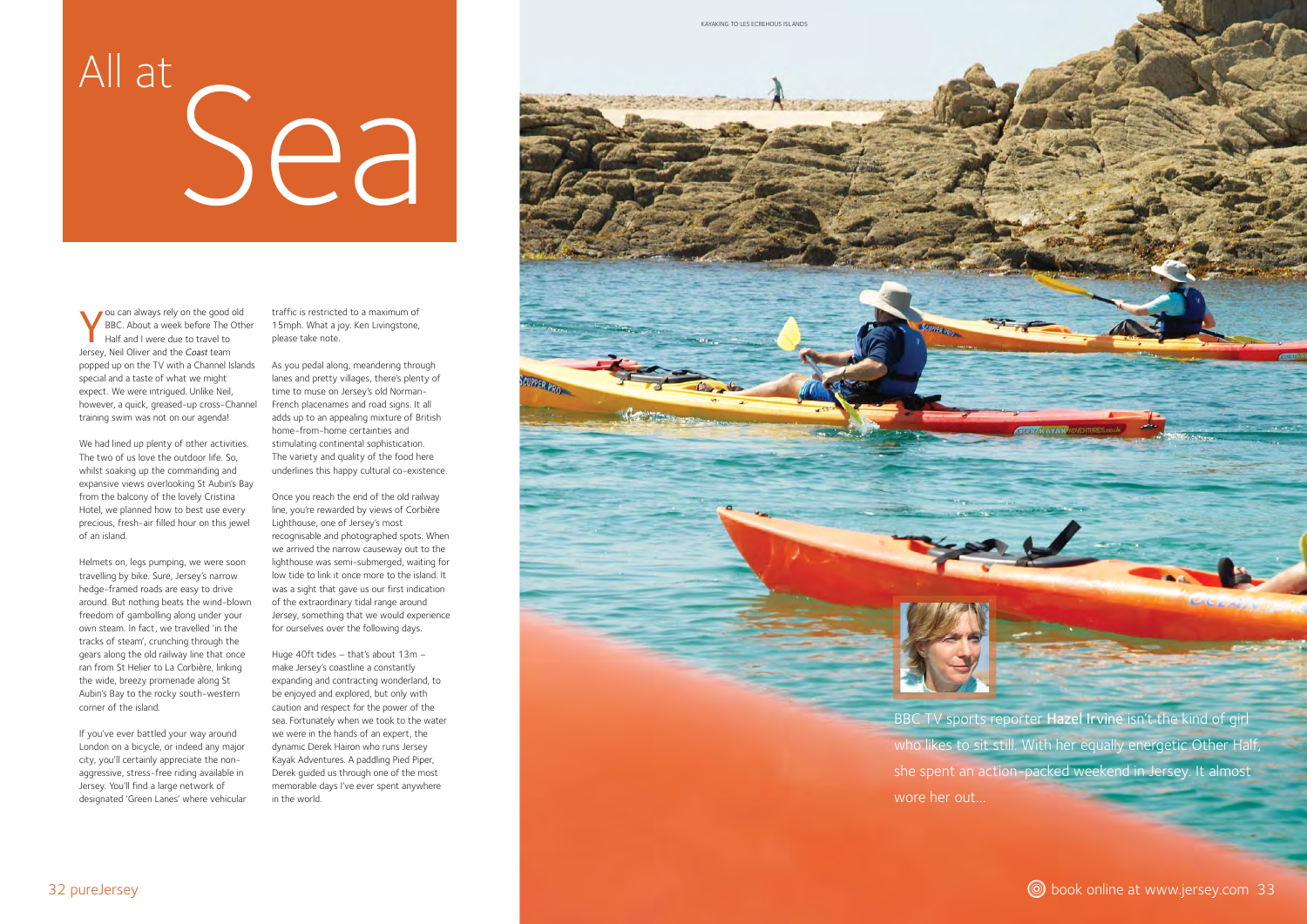



# All at Sea

You can always rely on the good old BBC. About a week before The Other Half and I were due to travel to Jersey, Neil Oliver and the *Coast* team popped up on the TV with a Channel Islands special and a taste of what we might expect. We were intrigued. Unlike Neil, however, a quick, greased-up cross-Channel training swim was not on our agenda!

We had lined up plenty of other activities. The two of us love the outdoor life. So, whilst soaking up the commanding and expansive views overlooking St Aubin's Bay from the balcony of the lovely Cristina Hotel, we planned how to best use every precious, fresh-air filled hour on this jewel of an island.

Helmets on, legs pumping, we were soon travelling by bike. Sure, Jersey's narrow hedge-framed roads are easy to drive around. But nothing beats the wind-blown freedom of gambolling along under your own steam. In fact, we travelled 'in the tracks of steam', crunching through the gears along the old railway line that once ran from St Helier to La Corbière, linking the wide, breezy promenade along St Aubin's Bay to the rocky south-western corner of the island.

If you've ever battled your way around London on a bicycle, or indeed any major city, you'll certainly appreciate the nonaggressive, stress-free riding available in Jersey. You'll find a large network of designated 'Green Lanes' where vehicular traffic is restricted to a maximum of 15mph. What a joy. Ken Livingstone, please take note.

As you pedal along, meandering through lanes and pretty villages, there's plenty of time to muse on Jersey's old Norman-French placenames and road signs. It all adds up to an appealing mixture of British home-from-home certainties and stimulating continental sophistication. The variety and quality of the food here underlines this happy cultural co-existence.

SCUPPER PRO

Once you reach the end of the old railway line, you're rewarded by views of Corbière Lighthouse, one of Jersey's most recognisable and photographed spots. When we arrived the narrow causeway out to the lighthouse was semi-submerged, waiting for low tide to link it once more to the island. It was a sight that gave us our first indication of the extraordinary tidal range around Jersey, something that we would experience for ourselves over the following days.

Huge 40ft tides – that's about 13m – make Jersey's coastline a constantly expanding and contracting wonderland, to be enjoyed and explored, but only with caution and respect for the power of the sea. Fortunately when we took to the water we were in the hands of an expert, the dynamic Derek Hairon who runs Jersey Kayak Adventures. A paddling Pied Piper, Derek guided us through one of the most memorable days I've ever spent anywhere in the world.

BBC TV sports reporter Hazel Irvine isn't the kind of girl who likes to sit still. With her equally energetic Other Half, she spent an action-packed weekend in Jersey. It almost



32 pureJersey and www.jersey.com 33

wore her out…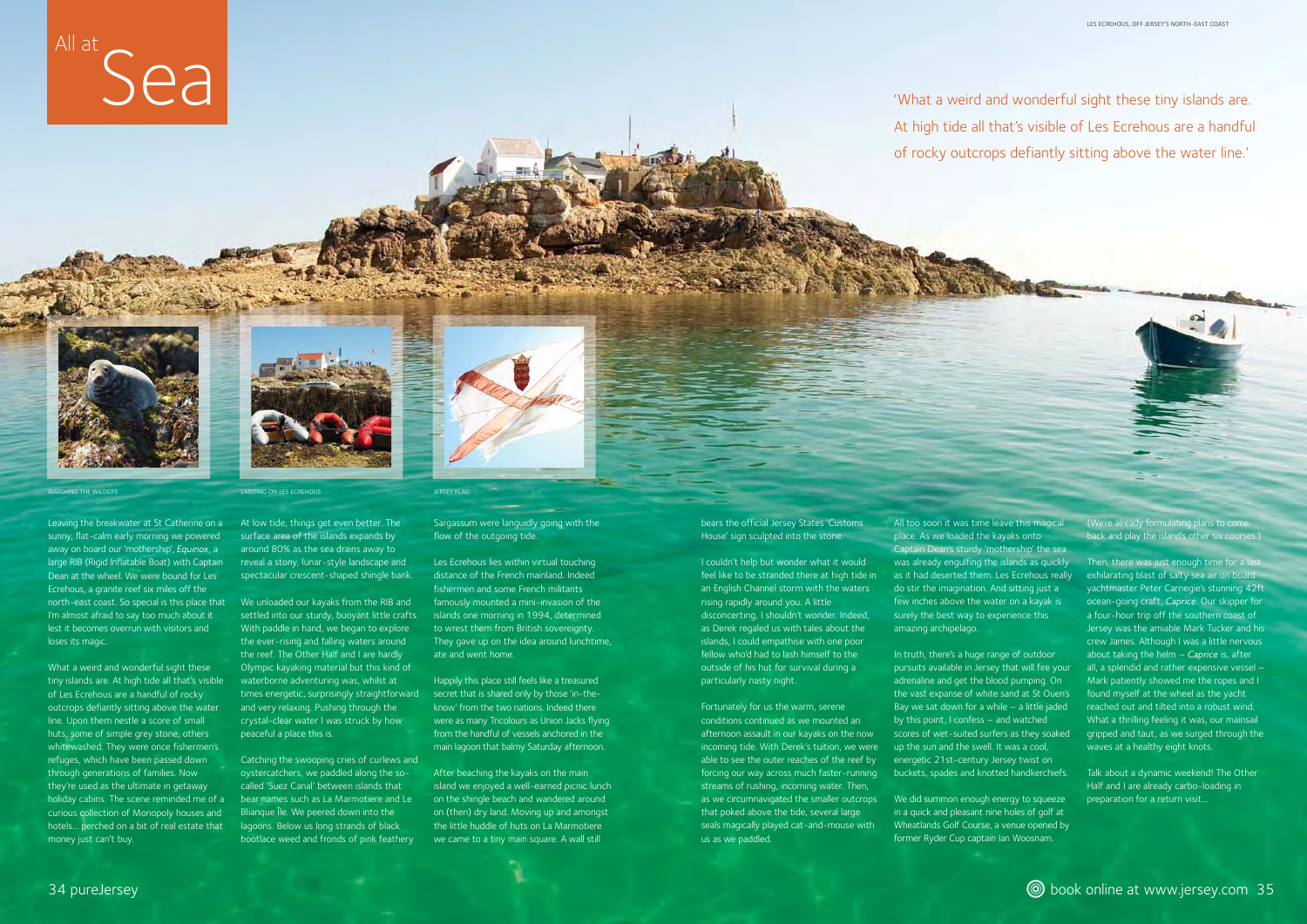'What a weird and wonderful sight these tiny islands are. At high tide all that's visible of Les Ecrehous are a handful of rocky outcrops defiantly sitting above the water line.'



Leaving the breakwater at St Catherine on a sunny, flat-calm early morning we powered away on board our 'mothership', *Equinox*, <sup>a</sup> large RIB (Rigid Inflatable Boat) with Captain Dean at the wheel. We were bound for Les Ecrehous, a granite reef six miles off the north-east coast. So special is this place that We unloaded our kayaks from the RIB and I'm almost afraid to say too much about it lest it becomes overrun with visitors and loses its magic.

What a weird and wonderful sight these tiny islands are. At high tide all that's visible of Les Ecrehous are a handful of rocky outcrops defiantly sitting above the water line. Upon them nestle a score of small huts, some of simple grey stone, others whitewashed. They were once fishermen's refuges, which have been passed down through generations of families. Now they're used as the ultimate in getaway holiday cabins. The scene reminded me of a curious collection of Monopoly houses and hotels… perched on a bit of real estate that money just can't buy.

At low tide, things get even better. The surface area of the islands expands by around 80% as the sea drains away to reveal a stony, lunar-style landscape and spectacular crescent-shaped shingle bank.

settled into our sturdy, buoyant little crafts. With paddle in hand, we began to explore the ever-rising and falling waters around the reef. The Other Half and I are hardly Olympic kayaking material but this kind of waterborne adventuring was, whilst at times energetic, surprisingly straightforward and very relaxing. Pushing through the crystal-clear water I was struck by how peaceful a place this is.

Catching the swooping cries of curlews and oystercatchers, we paddled along the socalled 'Suez Canal' between islands that bear names such as La Marmotiere and Le Blianque Île. We peered down into the lagoons. Below us long strands of black bootlace weed and fronds of pink feathery

# WATCHING THE WILDLIFE LAND CONTROL CONTROL CONTROL CONTROL CONTROL CONTROL CONTROL CONTROL CONTROL CONTROL CONTROL CONTROL CONTROL CONTROL CONTROL CONTROL CONTROL CONTROL CONTROL CONTROL CONTROL CONTROL CONTROL CONTROL CON

Sargassum were languidly going with the flow of the outgoing tide.

Les Ecrehous lies within virtual touching distance of the French mainland. Indeed fishermen and some French militants famously mounted a mini-invasion of the islands one morning in 1994, determined to wrest them from British sovereignty. They gave up on the idea around lunchtime, ate and went home.

> We did summon enough energy to squeeze in a quick and pleasant nine holes of golf at Wheatlands Golf Course, a venue opened by former Ryder Cup captain Ian Woosnam.

Happily this place still feels like a treasured secret that is shared only by those 'in-theknow' from the two nations. Indeed there were as many Tricolours as Union Jacks flying from the handful of vessels anchored in the main lagoon that balmy Saturday afternoon.

After beaching the kayaks on the main island we enjoyed a well-earned picnic lunch on the shingle beach and wandered around on (then) dry land. Moving up and amongst the little huddle of huts on La Marmotiere we came to a tiny main square. A wall still

bears the official Jersey States 'Customs House' sign sculpted into the stone.

I couldn't help but wonder what it would feel like to be stranded there at high tide in an English Channel storm with the waters rising rapidly around you. A little disconcerting, I shouldn't wonder. Indeed, as Derek regaled us with tales about the islands, I could empathise with one poor fellow who'd had to lash himself to the outside of his hut for survival during a particularly nasty night.

Fortunately for us the warm, serene conditions continued as we mounted an afternoon assault in our kayaks on the now incoming tide. With Derek's tuition, we were able to see the outer reaches of the reef by forcing our way across much faster-running streams of rushing, incoming water. Then, as we circumnavigated the smaller outcrops that poked above the tide, several large seals magically played cat-and-mouse with us as we paddled.



place. As we loaded the kayaks onto Captain Dean's sturdy 'mothership' the sea was already engulfing the islands as quickly as it had deserted them. Les Ecrehous really do stir the imagination. And sitting just a few inches above the water on a kayak is surely the best way to experience this amazing archipelago.

In truth, there's a huge range of outdoor pursuits available in Jersey that will fire your adrenaline and get the blood pumping. On the vast expanse of white sand at St Ouen's Bay we sat down for a while – a little jaded by this point, I confess – and watched scores of wet-suited surfers as they soaked up the sun and the swell. It was a cool, energetic 21st-century Jersey twist on buckets, spades and knotted handkerchiefs.

(We're already formulating plans to come back and play the island's other six courses.)

Then, there was just enough time for a last exhilarating blast of salty sea air on board yachtmaster Peter Carnegie's stunning 42ft ocean-going craft, *Caprice*. Our skipper for a four-hour trip off the southern coast of Jersey was the amiable Mark Tucker and his crew James. Although I was a little nervous about taking the helm – *Caprice* is, after all, a splendid and rather expensive vessel – Mark patiently showed me the ropes and I found myself at the wheel as the yacht reached out and tilted into a robust wind. What a thrilling feeling it was, our mainsail gripped and taut, as we surged through the waves at a healthy eight knots.

Talk about a dynamic weekend! The Other Half and I are already carbo-loading in preparation for a return visit…

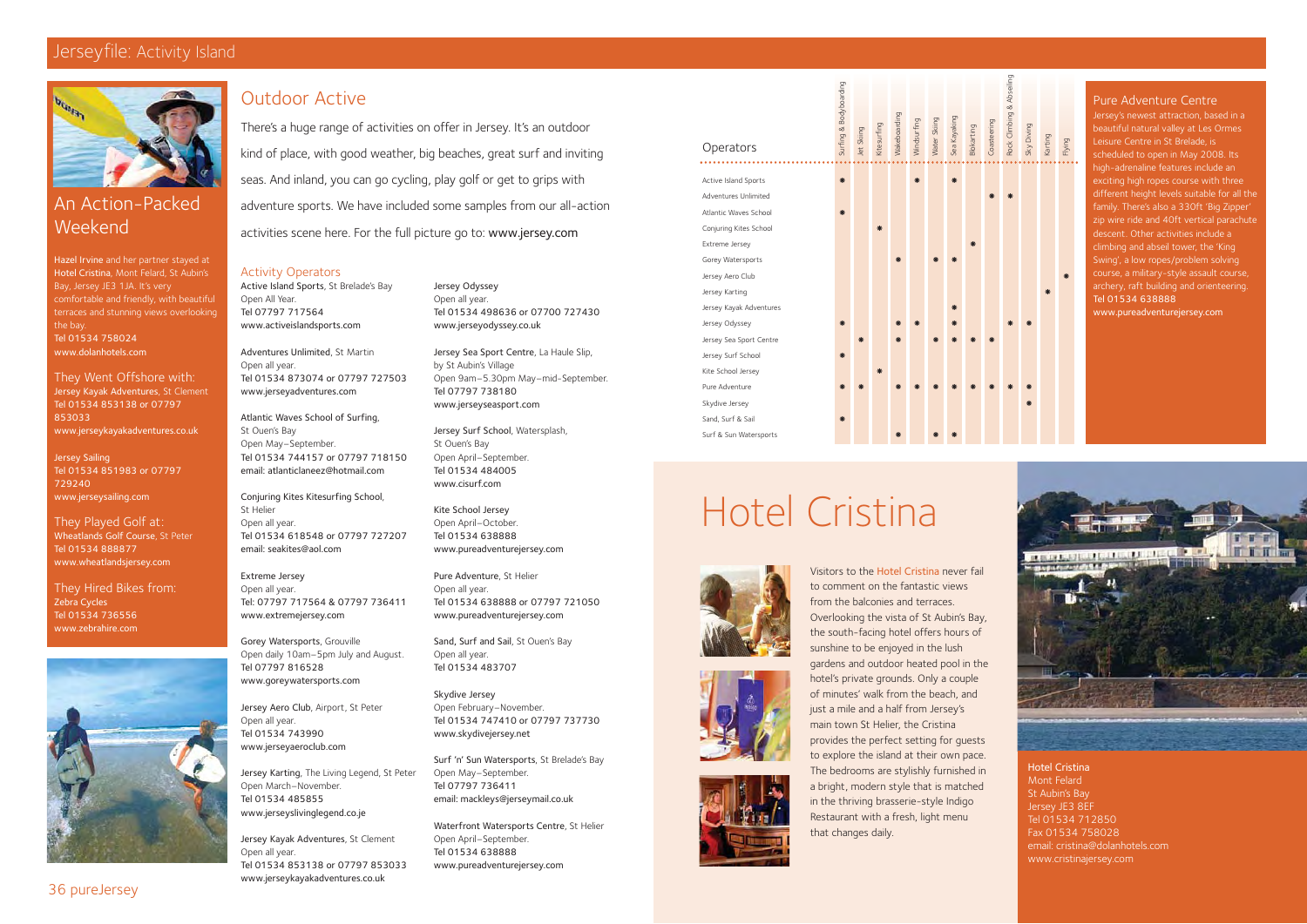# Outdoor Active

There's a huge range of activities on offer in Jersey. It's an outdoor kind of place, with good weather, big beaches, great surf and inviting seas. And inland, you can go cycling, play golf or get to grips with adventure sports. We have included some samples from our all-action activities scene here. For the full picture go to: www.jersey.com

# Jerseyfile: Activity Island



Jersey Odyssey Open all year. Tel 01534 498636 or 07700 727430 www.jerseyodyssey.co.uk

Jersey Sea Sport Centre, La Haule Slip, by St Aubin's Village Open 9am–5.30pm May–mid-September. Tel 07797 738180 www.jerseyseasport.com

Waterfront Watersports Centre, St Helier Open April–September. Tel 01534 638888 www.pureadventurejersey.com

Jersey Surf School, Watersplash, St Ouen's Bay Open April–September. Tel 01534 484005 www.cisurf.com

Kite School Jersey Open April–October. Tel 01534 638888 www.pureadventurejersey.com

Pure Adventure, St Helier Open all year. Tel 01534 638888 or 07797 721050 www.pureadventurejersey.com

Sand, Surf and Sail, St Ouen's Bay Open all year. Tel 01534 483707

Skydive Jersey Open February–November. Tel 01534 747410 or 07797 737730 www.skydivejersey.net

Surf 'n' Sun Watersports, St Brelade's Bay Open May–September. Tel 07797 736411 email: mackleys@jerseymail.co.uk

# Activity Operators

Active Island Sports, St Brelade's Bay Open All Year. Tel 07797 717564 www.activeislandsports.com

Adventures Unlimited, St Martin Open all year. Tel 01534 873074 or 07797 727503 www.jerseyadventures.com

Atlantic Waves School of Surfing, St Ouen's Bay Open May–September. Tel 01534 744157 or 07797 718150 email: atlanticlaneez@hotmail.com

Conjuring Kites Kitesurfing School, St Helier Open all year. Tel 01534 618548 or 07797 727207 email: seakites@aol.com

Extreme Jersey Open all year. Tel: 07797 717564 & 07797 736411 www.extremejersey.com

Gorey Watersports, Grouville Open daily 10am–5pm July and August. Tel 07797 816528 www.goreywatersports.com

Jersey Aero Club, Airport, St Peter Open all year. Tel 01534 743990 www.jerseyaeroclub.com

# Surfing & Bodyboarding Wakeboarding Sea Kayaking Water Skiing Windsurfing Kitesurfing Blokarting Jet Skiing **Operators** Active Island Sports ! !! Adventures Unlimited Atlantic Waves School \* Conjuring Kites School \* Extreme Jersey Gorey Watersports Jersey Aero Club Jersey Karting Jersey Kayak Adventures ! Jersey Odyssey Jersey Sea Sport Centre Jersey Surf School \* Kite School Jersey \* Pure Adventure Skydive Jersey Sand, Surf & Sail \*

Jersey Karting, The Living Legend, St Peter Open March–November. Tel 01534 485855 www.jerseyslivinglegend.co.je

Jersey's newest attraction, based in a beautiful natural valley at Les Ormes Leisure Centre in St Brelade, is scheduled to open in May 2008. Its high-adrenaline features include an exciting high ropes course with three different height levels suitable for all the family. There's also a 330ft 'Big Zipper' zip wire ride and 40ft vertical parachute descent. Other activities include a climbing and abseil tower, the 'King Swing', a low ropes/problem solving course, a military-style assault course, archery, raft building and orienteering. Tel 01534 638888

Jersey Kayak Adventures, St Clement Open all year. Tel 01534 853138 or 07797 853033 www.jerseykayakadventures.co.uk

# An Action-Packed Weekend

Hazel Irvine and her partner stayed at Hotel Cristina, Mont Felard, St Aubin's Bay, Jersey JE3 1JA. It's very comfortable and friendly, with beautiful terraces and stunning views overlooking the bay. Tel 01534 758024 www.dolanhotels.com

They Went Offshore with: Jersey Kayak Adventures, St Clement Tel 01534 853138 or 07797 853033 www.jerseykayakadventures.co.uk

Jersey Sailing Tel 01534 851983 or 07797 729240 www.jerseysailing.com

They Played Golf at: Wheatlands Golf Course, St Peter Tel 01534 888877 www.wheatlandsjersey.com

They Hired Bikes from: Zebra Cycles Tel 01534 736556 www.zebrahire.com



# Hotel Cristina Mont Felard St Aubin's Bay Jersey JE3 8EF Tel 01534 712850 Fax 01534 758028 email: cristina@dolanhotels.com www.cristinajersey.com

Visitors to the Hotel Cristina never fail to comment on the fantastic views from the balconies and terraces. Overlooking the vista of St Aubin's Bay, the south-facing hotel offers hours of sunshine to be enjoyed in the lush gardens and outdoor heated pool in the hotel's private grounds. Only a couple of minutes' walk from the beach, and just a mile and a half from Jersey's main town St Helier, the Cristina provides the perfect setting for guests to explore the island at their own pace. The bedrooms are stylishly furnished in a bright, modern style that is matched in the thriving brasserie-style Indigo Restaurant with a fresh, light menu that changes daily.

# Hotel Cristina



Surf & Sun Watersports





!



# Pure Adventure Centre

www.pureadventurejersey.com

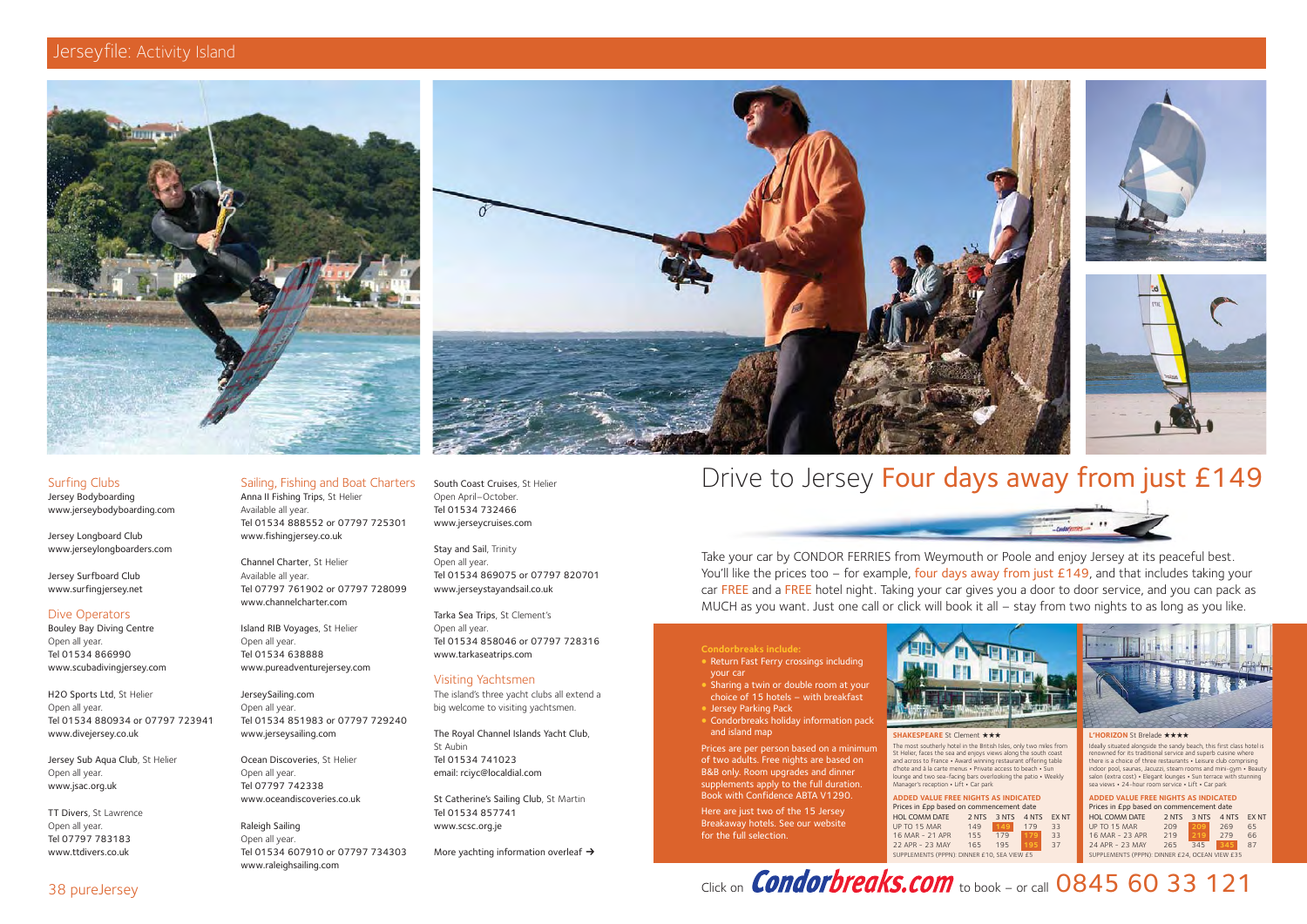







# Jerseyfile: Activity Island





Jersey Longboard Club www.jerseylongboarders.com

Jersey Surfboard Club www.surfingjersey.net

# Dive Operators

Bouley Bay Diving Centre Open all year. Tel 01534 866990 www.scubadivingjersey.com

H2O Sports Ltd, St Helier Open all year. Tel 01534 880934 or 07797 723941 www.divejersey.co.uk

Jersey Sub Aqua Club, St Helier Open all year. www.jsac.org.uk

TT Divers, St Lawrence Open all year. Tel 07797 783183 www.ttdivers.co.uk

# Sailing, Fishing and Boat Charters

Raleigh Sailing Open all year. Tel 01534 607910 or 07797 734303 www.raleighsailing.com

Anna II Fishing Trips, St Helier Available all year. Tel 01534 888552 or 07797 725301 www.fishingjersey.co.uk

Channel Charter, St Helier Available all year. Tel 07797 761902 or 07797 728099 www.channelcharter.com

Island RIB Voyages, St Helier Open all year. Tel 01534 638888 www.pureadventurejersey.com

JerseySailing.com Open all year. Tel 01534 851983 or 07797 729240 www.jerseysailing.com

Ocean Discoveries, St Helier Open all year. Tel 07797 742338 www.oceandiscoveries.co.uk South Coast Cruises, St Helier Open April–October. Tel 01534 732466 www.jerseycruises.com

Stay and Sail, Trinity Open all year. Tel 01534 869075 or 07797 820701 www.jerseystayandsail.co.uk

Tarka Sea Trips, St Clement's Open all year. Tel 01534 858046 or 07797 728316 www.tarkaseatrips.com

# Visiting Yachtsmen

The island's three yacht clubs all extend a big welcome to visiting yachtsmen.

The Royal Channel Islands Yacht Club, St Aubin Tel 01534 741023 email: rciyc@localdial.com

St Catherine's Sailing Club, St Martin Tel 01534 857741 www.scsc.org.je

More yachting information overleaf  $\rightarrow$ 

# Drive to Jersey Four days away from just £149

# **Condorbreaks include:**

- © Return Fast Ferry crossings including your car
- © Sharing a twin or double room at your choice of 15 hotels – with breakfast
- Jersey Parking Pack
- © Condorbreaks holiday information pack and island map

Prices are per person based on a minimum of two adults. Free nights are based on B&B only. Room upgrades and dinner supplements apply to the full duration. Book with Confidence ABTA V1290.

Here are just two of the 15 Jersey Breakaway hotels. See our website for the full selection.



Take your car by CONDOR FERRIES from Weymouth or Poole and enjoy Jersey at its peaceful best. You'll like the prices too – for example, four days away from just  $£149$ , and that includes taking your car FREE and a FREE hotel night. Taking your car gives you a door to door service, and you can pack as MUCH as you want. Just one call or click will book it all – stay from two nights to as long as you like.